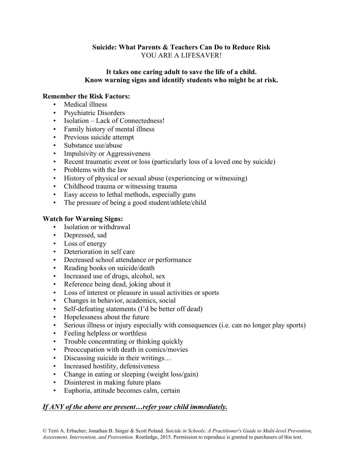# **Suicide: What Parents & Teachers Can Do to Reduce Risk** YOU ARE A LIFESAVER!

## **It takes one caring adult to save the life of a child. Know warning signs and identify students who might be at risk.**

# **Remember the Risk Factors:**

- Medical illness
- Psychiatric Disorders
- Isolation Lack of Connectedness!
- Family history of mental illness
- Previous suicide attempt
- Substance use/abuse
- Impulsivity or Aggressiveness
- Recent traumatic event or loss (particularly loss of a loved one by suicide)
- Problems with the law
- History of physical or sexual abuse (experiencing or witnessing)
- Childhood trauma or witnessing trauma
- Easy access to lethal methods, especially guns
- The pressure of being a good student/athlete/child

# **Watch for Warning Signs:**

- Isolation or withdrawal
- Depressed, sad
- Loss of energy
- Deterioration in self care
- Decreased school attendance or performance
- Reading books on suicide/death
- Increased use of drugs, alcohol, sex
- Reference being dead, joking about it
- Loss of interest or pleasure in usual activities or sports
- Changes in behavior, academics, social
- Self-defeating statements (I'd be better off dead)
- Hopelessness about the future
- Serious illness or injury especially with consequences (i.e. can no longer play sports)
- Feeling helpless or worthless
- Trouble concentrating or thinking quickly
- Preoccupation with death in comics/movies
- Discussing suicide in their writings...
- Increased hostility, defensiveness
- Change in eating or sleeping (weight loss/gain)
- Disinterest in making future plans
- Euphoria, attitude becomes calm, certain

## *If ANY of the above are present…refer your child immediately.*